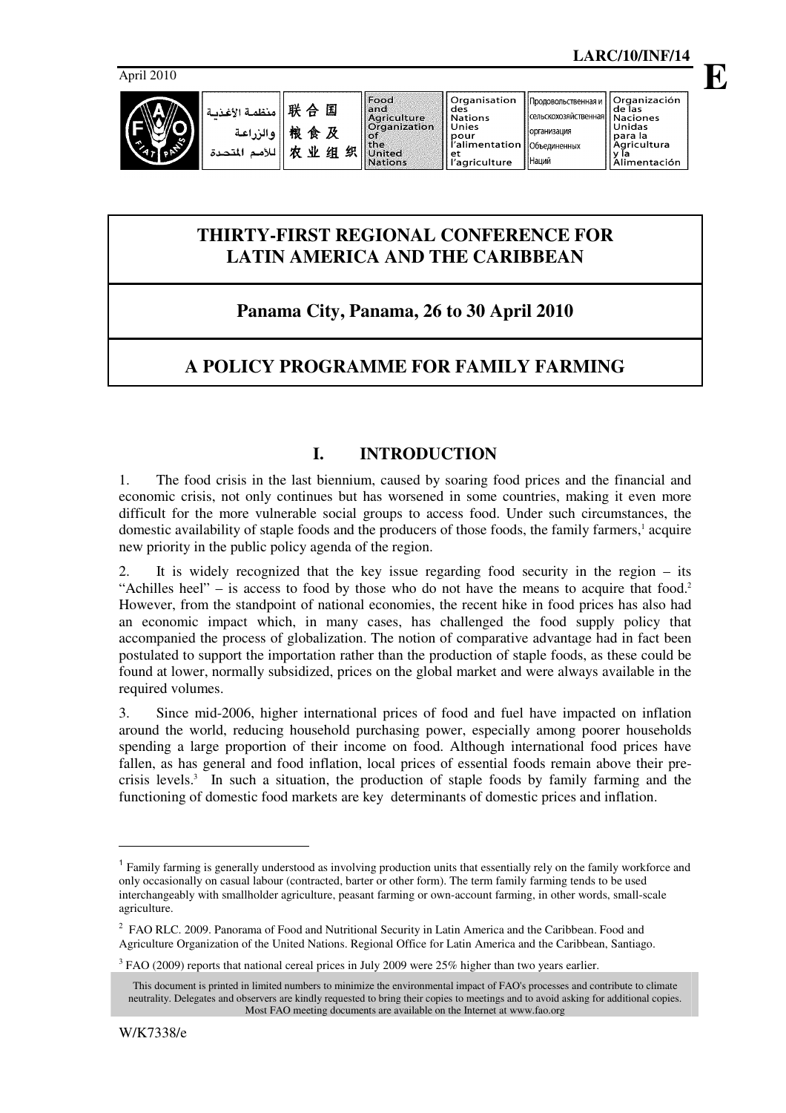

Food

Продовольственная и

Organización

de l̃as

**E**

| $\bullet$<br>اللأمد<br>المتحدة | 锒<br>食<br>业<br>巾 | 及<br>织<br>组 | <b>I MAYO I BILGIO ERRE HILGA</b><br><b>Crganization</b><br>lof<br><b>the</b><br>United<br><b>Nations</b> | i Nations<br>Il Unies<br>pour<br>í l'alimentation   Объединенных<br>et<br>l'agriculture | <b>ECONOMISTIC INTERNATIONAL PROPERTY</b><br><b>Горганизация</b><br>Наций | l lUnidas<br>l Ipara la<br>  Agricultura<br>Alimentación |
|--------------------------------|------------------|-------------|-----------------------------------------------------------------------------------------------------------|-----------------------------------------------------------------------------------------|---------------------------------------------------------------------------|----------------------------------------------------------|
|                                |                  |             |                                                                                                           |                                                                                         |                                                                           |                                                          |

# **THIRTY-FIRST REGIONAL CONFERENCE FOR LATIN AMERICA AND THE CARIBBEAN**

# **Panama City, Panama, 26 to 30 April 2010**

# **A POLICY PROGRAMME FOR FAMILY FARMING**

# **I. INTRODUCTION**

1. The food crisis in the last biennium, caused by soaring food prices and the financial and economic crisis, not only continues but has worsened in some countries, making it even more difficult for the more vulnerable social groups to access food. Under such circumstances, the domestic availability of staple foods and the producers of those foods, the family farmers,<sup>1</sup> acquire new priority in the public policy agenda of the region.

2. It is widely recognized that the key issue regarding food security in the region – its "Achilles heel" – is access to food by those who do not have the means to acquire that food.<sup>2</sup> However, from the standpoint of national economies, the recent hike in food prices has also had an economic impact which, in many cases, has challenged the food supply policy that accompanied the process of globalization. The notion of comparative advantage had in fact been postulated to support the importation rather than the production of staple foods, as these could be found at lower, normally subsidized, prices on the global market and were always available in the required volumes.

3. Since mid-2006, higher international prices of food and fuel have impacted on inflation around the world, reducing household purchasing power, especially among poorer households spending a large proportion of their income on food. Although international food prices have fallen, as has general and food inflation, local prices of essential foods remain above their precrisis levels.<sup>3</sup> In such a situation, the production of staple foods by family farming and the functioning of domestic food markets are key determinants of domestic prices and inflation.

L

<sup>&</sup>lt;sup>1</sup> Family farming is generally understood as involving production units that essentially rely on the family workforce and only occasionally on casual labour (contracted, barter or other form). The term family farming tends to be used interchangeably with smallholder agriculture, peasant farming or own-account farming, in other words, small-scale agriculture.

<sup>&</sup>lt;sup>2</sup> FAO RLC. 2009. Panorama of Food and Nutritional Security in Latin America and the Caribbean. Food and Agriculture Organization of the United Nations. Regional Office for Latin America and the Caribbean, Santiago.

 $3$  FAO (2009) reports that national cereal prices in July 2009 were 25% higher than two years earlier.

This document is printed in limited numbers to minimize the environmental impact of FAO's processes and contribute to climate neutrality. Delegates and observers are kindly requested to bring their copies to meetings and to avoid asking for additional copies. Most FAO meeting documents are available on the Internet at www.fao.org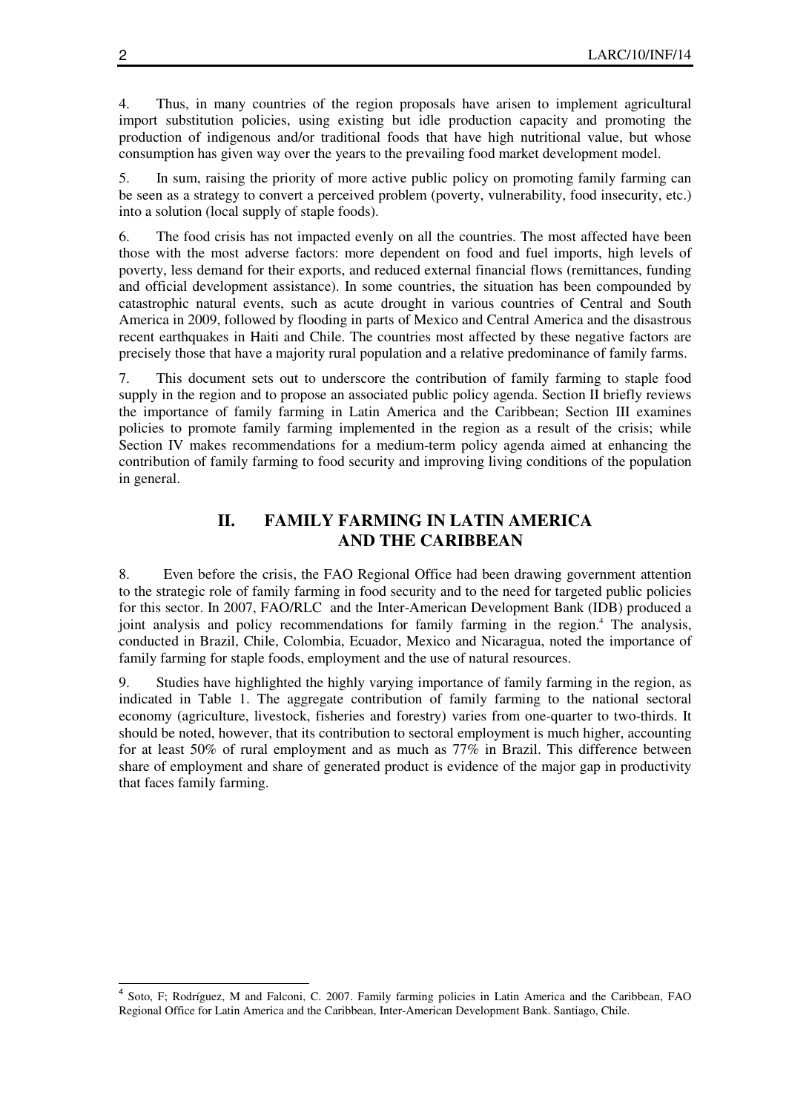4. Thus, in many countries of the region proposals have arisen to implement agricultural import substitution policies, using existing but idle production capacity and promoting the production of indigenous and/or traditional foods that have high nutritional value, but whose consumption has given way over the years to the prevailing food market development model.

5. In sum, raising the priority of more active public policy on promoting family farming can be seen as a strategy to convert a perceived problem (poverty, vulnerability, food insecurity, etc.) into a solution (local supply of staple foods).

6. The food crisis has not impacted evenly on all the countries. The most affected have been those with the most adverse factors: more dependent on food and fuel imports, high levels of poverty, less demand for their exports, and reduced external financial flows (remittances, funding and official development assistance). In some countries, the situation has been compounded by catastrophic natural events, such as acute drought in various countries of Central and South America in 2009, followed by flooding in parts of Mexico and Central America and the disastrous recent earthquakes in Haiti and Chile. The countries most affected by these negative factors are precisely those that have a majority rural population and a relative predominance of family farms.

7. This document sets out to underscore the contribution of family farming to staple food supply in the region and to propose an associated public policy agenda. Section II briefly reviews the importance of family farming in Latin America and the Caribbean; Section III examines policies to promote family farming implemented in the region as a result of the crisis; while Section IV makes recommendations for a medium-term policy agenda aimed at enhancing the contribution of family farming to food security and improving living conditions of the population in general.

# **II. FAMILY FARMING IN LATIN AMERICA AND THE CARIBBEAN**

8. Even before the crisis, the FAO Regional Office had been drawing government attention to the strategic role of family farming in food security and to the need for targeted public policies for this sector. In 2007, FAO/RLC and the Inter-American Development Bank (IDB) produced a joint analysis and policy recommendations for family farming in the region.<sup>4</sup> The analysis, conducted in Brazil, Chile, Colombia, Ecuador, Mexico and Nicaragua, noted the importance of family farming for staple foods, employment and the use of natural resources.

9. Studies have highlighted the highly varying importance of family farming in the region, as indicated in Table 1. The aggregate contribution of family farming to the national sectoral economy (agriculture, livestock, fisheries and forestry) varies from one-quarter to two-thirds. It should be noted, however, that its contribution to sectoral employment is much higher, accounting for at least 50% of rural employment and as much as 77% in Brazil. This difference between share of employment and share of generated product is evidence of the major gap in productivity that faces family farming.

L

<sup>4</sup> Soto, F; Rodríguez, M and Falconi, C. 2007. Family farming policies in Latin America and the Caribbean, FAO Regional Office for Latin America and the Caribbean, Inter-American Development Bank. Santiago, Chile.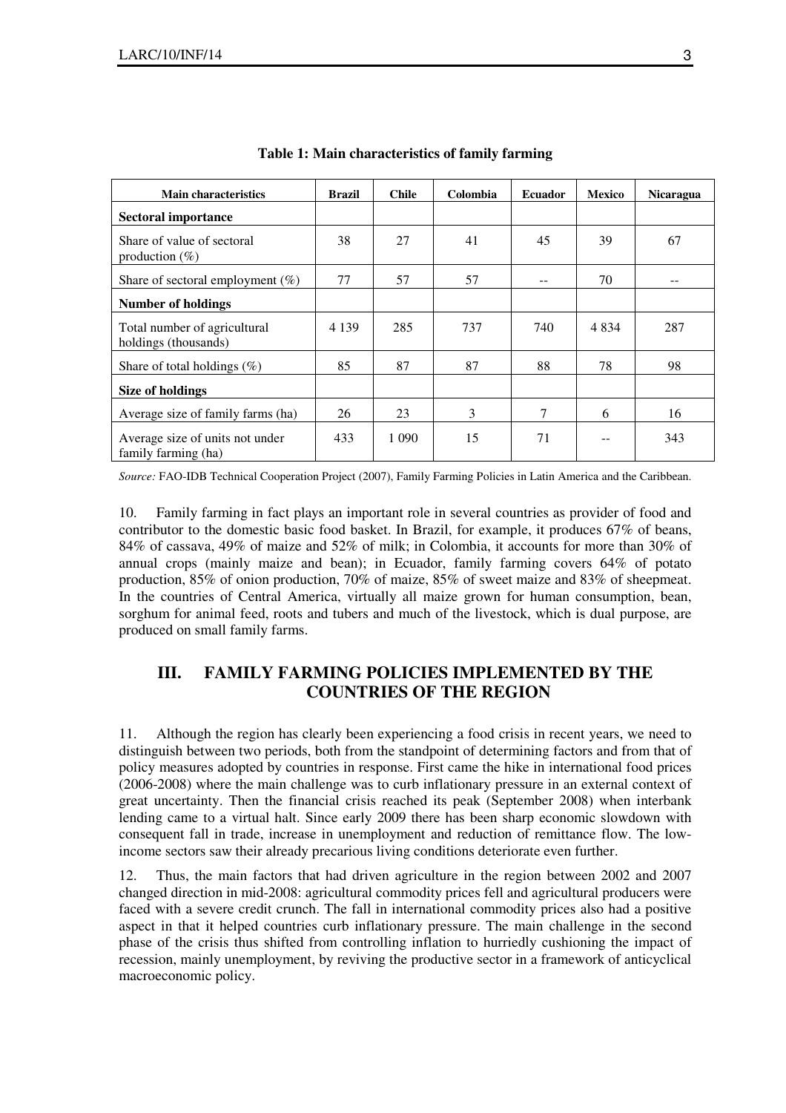| <b>Main characteristics</b>                            | <b>Brazil</b> | <b>Chile</b> | Colombia | <b>Ecuador</b> | <b>Mexico</b> | <b>Nicaragua</b> |
|--------------------------------------------------------|---------------|--------------|----------|----------------|---------------|------------------|
| Sectoral importance                                    |               |              |          |                |               |                  |
| Share of value of sectoral<br>production $(\%)$        | 38            | 27           | 41       | 45             | 39            | 67               |
| Share of sectoral employment $(\%)$                    | 77            | 57           | 57       |                | 70            |                  |
| <b>Number of holdings</b>                              |               |              |          |                |               |                  |
| Total number of agricultural<br>holdings (thousands)   | 4 1 3 9       | 285          | 737      | 740            | 4 8 3 4       | 287              |
| Share of total holdings $(\%)$                         | 85            | 87           | 87       | 88             | 78            | 98               |
| <b>Size of holdings</b>                                |               |              |          |                |               |                  |
| Average size of family farms (ha)                      | 26            | 23           | 3        | 7              | 6             | 16               |
| Average size of units not under<br>family farming (ha) | 433           | 1 0 9 0      | 15       | 71             |               | 343              |

**Table 1: Main characteristics of family farming** 

*Source:* FAO-IDB Technical Cooperation Project (2007), Family Farming Policies in Latin America and the Caribbean.

10. Family farming in fact plays an important role in several countries as provider of food and contributor to the domestic basic food basket. In Brazil, for example, it produces 67% of beans, 84% of cassava, 49% of maize and 52% of milk; in Colombia, it accounts for more than 30% of annual crops (mainly maize and bean); in Ecuador, family farming covers 64% of potato production, 85% of onion production, 70% of maize, 85% of sweet maize and 83% of sheepmeat. In the countries of Central America, virtually all maize grown for human consumption, bean, sorghum for animal feed, roots and tubers and much of the livestock, which is dual purpose, are produced on small family farms.

# **III. FAMILY FARMING POLICIES IMPLEMENTED BY THE COUNTRIES OF THE REGION**

11. Although the region has clearly been experiencing a food crisis in recent years, we need to distinguish between two periods, both from the standpoint of determining factors and from that of policy measures adopted by countries in response. First came the hike in international food prices (2006-2008) where the main challenge was to curb inflationary pressure in an external context of great uncertainty. Then the financial crisis reached its peak (September 2008) when interbank lending came to a virtual halt. Since early 2009 there has been sharp economic slowdown with consequent fall in trade, increase in unemployment and reduction of remittance flow. The lowincome sectors saw their already precarious living conditions deteriorate even further.

12. Thus, the main factors that had driven agriculture in the region between 2002 and 2007 changed direction in mid-2008: agricultural commodity prices fell and agricultural producers were faced with a severe credit crunch. The fall in international commodity prices also had a positive aspect in that it helped countries curb inflationary pressure. The main challenge in the second phase of the crisis thus shifted from controlling inflation to hurriedly cushioning the impact of recession, mainly unemployment, by reviving the productive sector in a framework of anticyclical macroeconomic policy.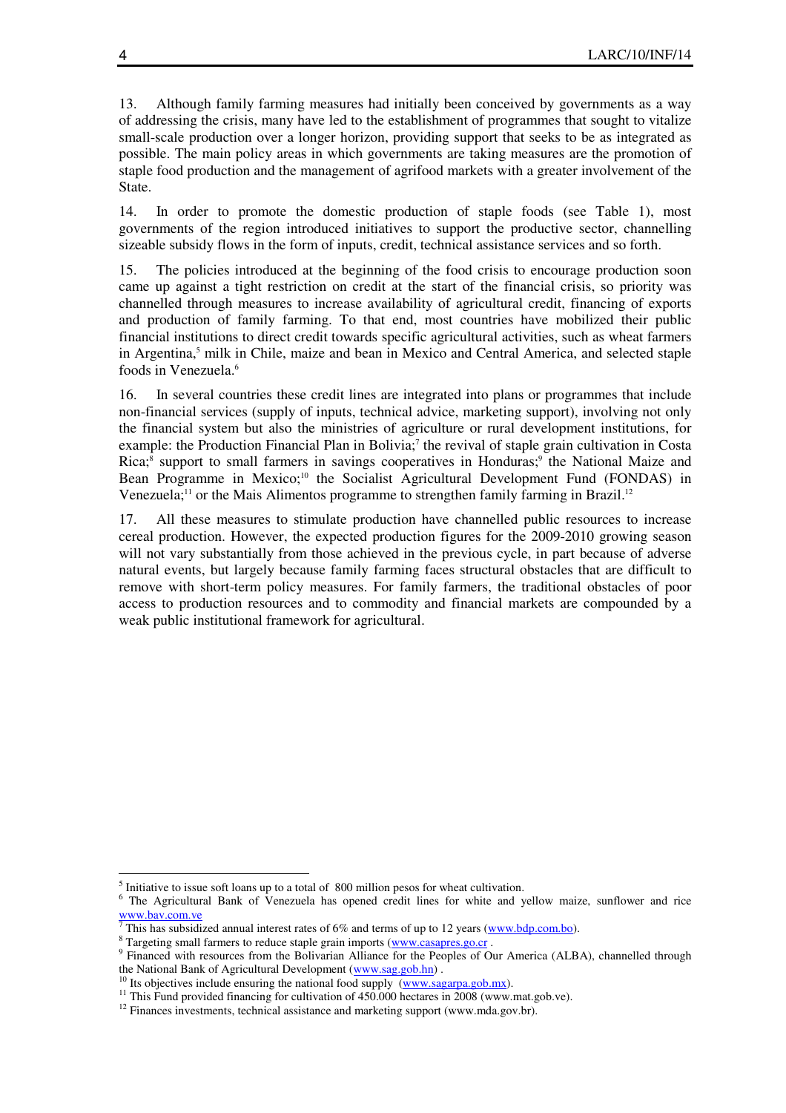13. Although family farming measures had initially been conceived by governments as a way of addressing the crisis, many have led to the establishment of programmes that sought to vitalize small-scale production over a longer horizon, providing support that seeks to be as integrated as possible. The main policy areas in which governments are taking measures are the promotion of staple food production and the management of agrifood markets with a greater involvement of the State.

14. In order to promote the domestic production of staple foods (see Table 1), most governments of the region introduced initiatives to support the productive sector, channelling sizeable subsidy flows in the form of inputs, credit, technical assistance services and so forth.

15. The policies introduced at the beginning of the food crisis to encourage production soon came up against a tight restriction on credit at the start of the financial crisis, so priority was channelled through measures to increase availability of agricultural credit, financing of exports and production of family farming. To that end, most countries have mobilized their public financial institutions to direct credit towards specific agricultural activities, such as wheat farmers in Argentina,<sup>5</sup> milk in Chile, maize and bean in Mexico and Central America, and selected staple foods in Venezuela.<sup>6</sup>

16. In several countries these credit lines are integrated into plans or programmes that include non-financial services (supply of inputs, technical advice, marketing support), involving not only the financial system but also the ministries of agriculture or rural development institutions, for example: the Production Financial Plan in Bolivia;<sup>7</sup> the revival of staple grain cultivation in Costa Rica;<sup>8</sup> support to small farmers in savings cooperatives in Honduras;<sup>9</sup> the National Maize and Bean Programme in Mexico;<sup>10</sup> the Socialist Agricultural Development Fund (FONDAS) in Venezuela;<sup>11</sup> or the Mais Alimentos programme to strengthen family farming in Brazil.<sup>12</sup>

17. All these measures to stimulate production have channelled public resources to increase cereal production. However, the expected production figures for the 2009-2010 growing season will not vary substantially from those achieved in the previous cycle, in part because of adverse natural events, but largely because family farming faces structural obstacles that are difficult to remove with short-term policy measures. For family farmers, the traditional obstacles of poor access to production resources and to commodity and financial markets are compounded by a weak public institutional framework for agricultural.

 $\overline{a}$ 

<sup>&</sup>lt;sup>5</sup> Initiative to issue soft loans up to a total of 800 million pesos for wheat cultivation.

<sup>&</sup>lt;sup>6</sup> The Agricultural Bank of Venezuela has opened credit lines for white and yellow maize, sunflower and rice  $\frac{7}{7}$ This has subsidized annual interest rates of 6% and terms of up to 12 years (www.bdp.com.bo).<br><sup>8</sup> Tergeting small farmers to reduce stable grain imports (www.casarge.go.gr

Targeting small farmers to reduce staple grain imports (www.casapres.go.cr .

<sup>&</sup>lt;sup>9</sup> Financed with resources from the Bolivarian Alliance for the Peoples of Our America (ALBA), channelled through the National Bank of Agricultural Development (www.sag.gob.hn) .

<sup>&</sup>lt;sup>10</sup> Its objectives include ensuring the national food supply (www.sagarpa.gob.mx).

 $11$  This Fund provided financing for cultivation of 450.000 hectares in 2008 (www.mat.gob.ve).

<sup>&</sup>lt;sup>12</sup> Finances investments, technical assistance and marketing support (www.mda.gov.br).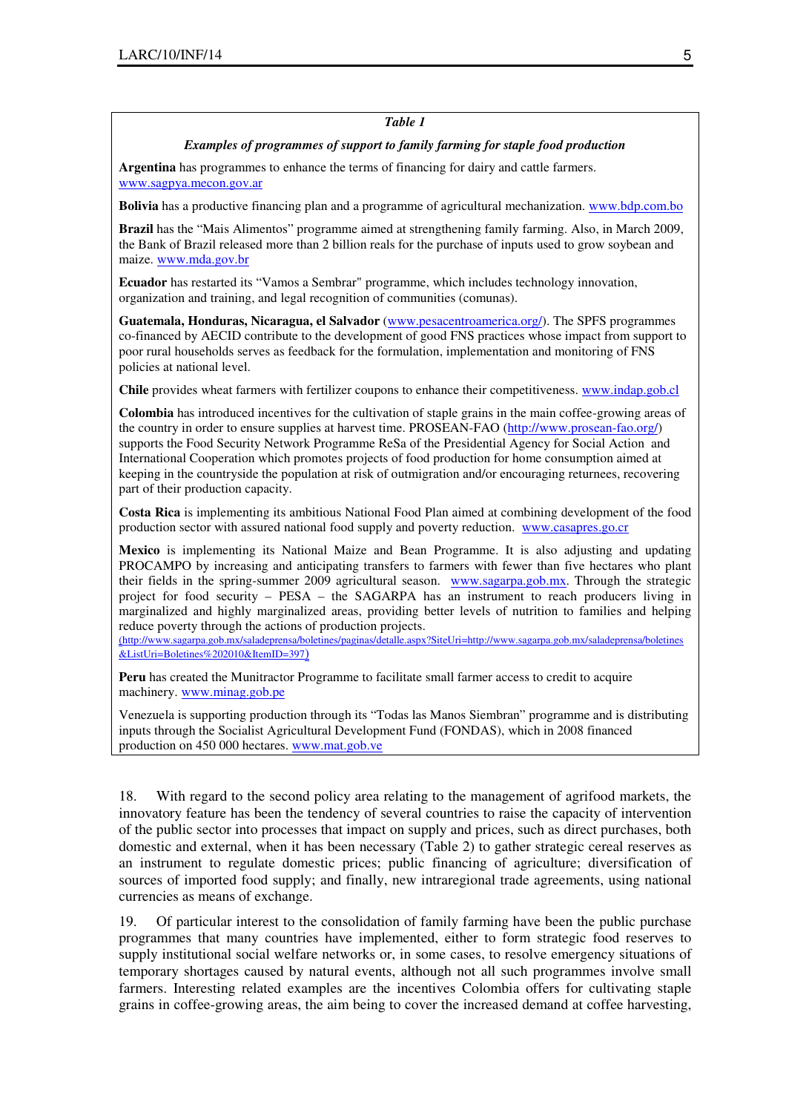### *Table 1*

#### *Examples of programmes of support to family farming for staple food production*

**Argentina** has programmes to enhance the terms of financing for dairy and cattle farmers. www.sagpya.mecon.gov.ar

**Bolivia** has a productive financing plan and a programme of agricultural mechanization. www.bdp.com.bo

**Brazil** has the "Mais Alimentos" programme aimed at strengthening family farming. Also, in March 2009, the Bank of Brazil released more than 2 billion reals for the purchase of inputs used to grow soybean and maize. www.mda.gov.br

**Ecuador** has restarted its "Vamos a Sembrar" programme, which includes technology innovation, organization and training, and legal recognition of communities (comunas).

**Guatemala, Honduras, Nicaragua, el Salvador** (www.pesacentroamerica.org/). The SPFS programmes co-financed by AECID contribute to the development of good FNS practices whose impact from support to poor rural households serves as feedback for the formulation, implementation and monitoring of FNS policies at national level.

**Chile** provides wheat farmers with fertilizer coupons to enhance their competitiveness. www.indap.gob.cl

**Colombia** has introduced incentives for the cultivation of staple grains in the main coffee-growing areas of the country in order to ensure supplies at harvest time. PROSEAN-FAO (http://www.prosean-fao.org/) supports the Food Security Network Programme ReSa of the Presidential Agency for Social Action and International Cooperation which promotes projects of food production for home consumption aimed at keeping in the countryside the population at risk of outmigration and/or encouraging returnees, recovering part of their production capacity.

**Costa Rica** is implementing its ambitious National Food Plan aimed at combining development of the food production sector with assured national food supply and poverty reduction. www.casapres.go.cr

**Mexico** is implementing its National Maize and Bean Programme. It is also adjusting and updating PROCAMPO by increasing and anticipating transfers to farmers with fewer than five hectares who plant their fields in the spring-summer 2009 agricultural season. www.sagarpa.gob.mx. Through the strategic project for food security – PESA – the SAGARPA has an instrument to reach producers living in marginalized and highly marginalized areas, providing better levels of nutrition to families and helping reduce poverty through the actions of production projects.

(http://www.sagarpa.gob.mx/saladeprensa/boletines/paginas/detalle.aspx?SiteUri=http://www.sagarpa.gob.mx/saladeprensa/boletines &ListUri=Boletines%202010&ItemID=397)

**Peru** has created the Munitractor Programme to facilitate small farmer access to credit to acquire machinery. www.minag.gob.pe

Venezuela is supporting production through its "Todas las Manos Siembran" programme and is distributing inputs through the Socialist Agricultural Development Fund (FONDAS), which in 2008 financed production on 450 000 hectares. www.mat.gob.ve

18. With regard to the second policy area relating to the management of agrifood markets, the innovatory feature has been the tendency of several countries to raise the capacity of intervention of the public sector into processes that impact on supply and prices, such as direct purchases, both domestic and external, when it has been necessary (Table 2) to gather strategic cereal reserves as an instrument to regulate domestic prices; public financing of agriculture; diversification of sources of imported food supply; and finally, new intraregional trade agreements, using national currencies as means of exchange.

19. Of particular interest to the consolidation of family farming have been the public purchase programmes that many countries have implemented, either to form strategic food reserves to supply institutional social welfare networks or, in some cases, to resolve emergency situations of temporary shortages caused by natural events, although not all such programmes involve small farmers. Interesting related examples are the incentives Colombia offers for cultivating staple grains in coffee-growing areas, the aim being to cover the increased demand at coffee harvesting,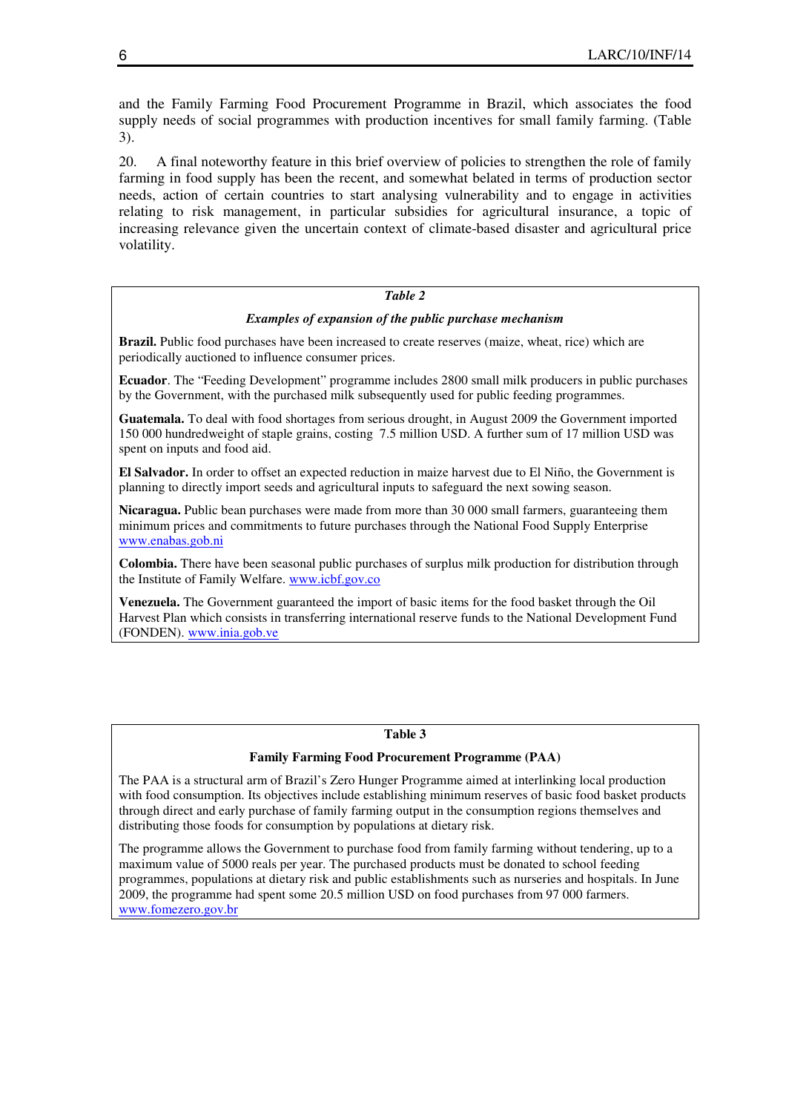and the Family Farming Food Procurement Programme in Brazil, which associates the food supply needs of social programmes with production incentives for small family farming. (Table 3).

20. A final noteworthy feature in this brief overview of policies to strengthen the role of family farming in food supply has been the recent, and somewhat belated in terms of production sector needs, action of certain countries to start analysing vulnerability and to engage in activities relating to risk management, in particular subsidies for agricultural insurance, a topic of increasing relevance given the uncertain context of climate-based disaster and agricultural price volatility.

#### *Table 2*

#### *Examples of expansion of the public purchase mechanism*

**Brazil.** Public food purchases have been increased to create reserves (maize, wheat, rice) which are periodically auctioned to influence consumer prices.

**Ecuador**. The "Feeding Development" programme includes 2800 small milk producers in public purchases by the Government, with the purchased milk subsequently used for public feeding programmes.

**Guatemala.** To deal with food shortages from serious drought, in August 2009 the Government imported 150 000 hundredweight of staple grains, costing 7.5 million USD. A further sum of 17 million USD was spent on inputs and food aid.

**El Salvador.** In order to offset an expected reduction in maize harvest due to El Niño, the Government is planning to directly import seeds and agricultural inputs to safeguard the next sowing season.

**Nicaragua.** Public bean purchases were made from more than 30 000 small farmers, guaranteeing them minimum prices and commitments to future purchases through the National Food Supply Enterprise www.enabas.gob.ni

**Colombia.** There have been seasonal public purchases of surplus milk production for distribution through the Institute of Family Welfare. www.icbf.gov.co

**Venezuela.** The Government guaranteed the import of basic items for the food basket through the Oil Harvest Plan which consists in transferring international reserve funds to the National Development Fund (FONDEN). www.inia.gob.ve

#### **Table 3**

#### **Family Farming Food Procurement Programme (PAA)**

The PAA is a structural arm of Brazil's Zero Hunger Programme aimed at interlinking local production with food consumption. Its objectives include establishing minimum reserves of basic food basket products through direct and early purchase of family farming output in the consumption regions themselves and distributing those foods for consumption by populations at dietary risk.

The programme allows the Government to purchase food from family farming without tendering, up to a maximum value of 5000 reals per year. The purchased products must be donated to school feeding programmes, populations at dietary risk and public establishments such as nurseries and hospitals. In June 2009, the programme had spent some 20.5 million USD on food purchases from 97 000 farmers. www.fomezero.gov.br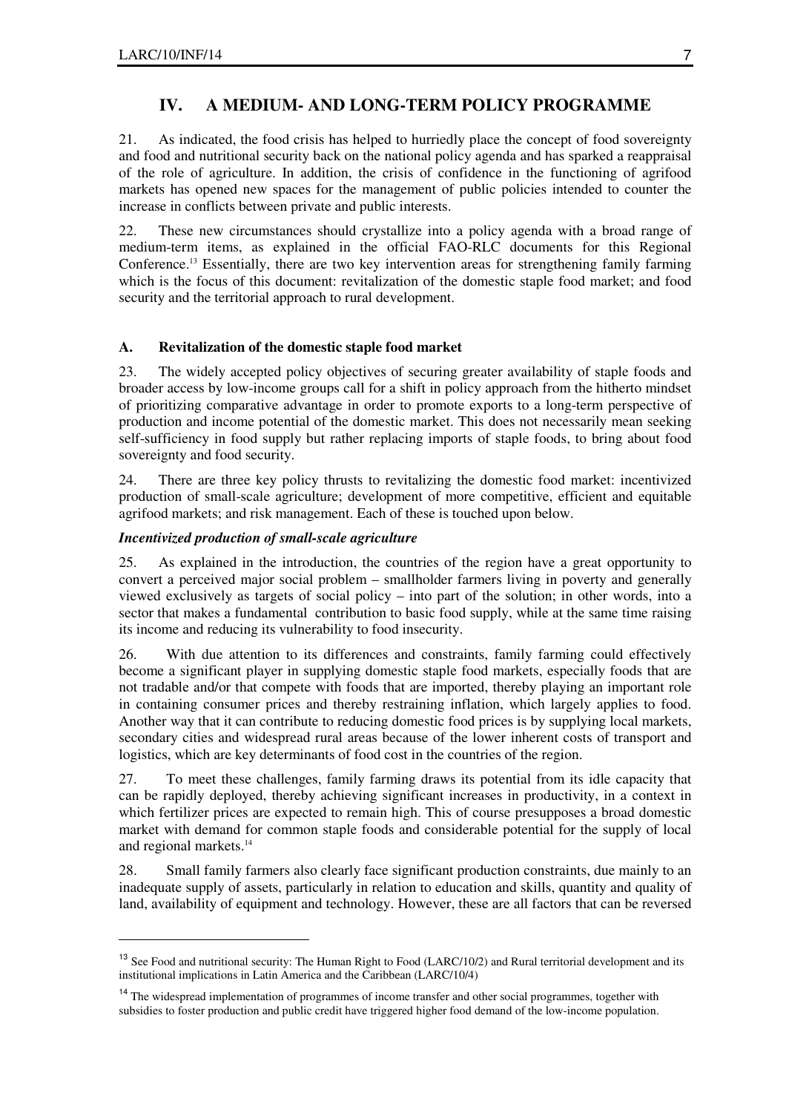l.

# **IV. A MEDIUM- AND LONG-TERM POLICY PROGRAMME**

21. As indicated, the food crisis has helped to hurriedly place the concept of food sovereignty and food and nutritional security back on the national policy agenda and has sparked a reappraisal of the role of agriculture. In addition, the crisis of confidence in the functioning of agrifood markets has opened new spaces for the management of public policies intended to counter the increase in conflicts between private and public interests.

22. These new circumstances should crystallize into a policy agenda with a broad range of medium-term items, as explained in the official FAO-RLC documents for this Regional Conference.<sup>13</sup> Essentially, there are two key intervention areas for strengthening family farming which is the focus of this document: revitalization of the domestic staple food market; and food security and the territorial approach to rural development.

## **A. Revitalization of the domestic staple food market**

23. The widely accepted policy objectives of securing greater availability of staple foods and broader access by low-income groups call for a shift in policy approach from the hitherto mindset of prioritizing comparative advantage in order to promote exports to a long-term perspective of production and income potential of the domestic market. This does not necessarily mean seeking self-sufficiency in food supply but rather replacing imports of staple foods, to bring about food sovereignty and food security.

24. There are three key policy thrusts to revitalizing the domestic food market: incentivized production of small-scale agriculture; development of more competitive, efficient and equitable agrifood markets; and risk management. Each of these is touched upon below.

## *Incentivized production of small-scale agriculture*

25. As explained in the introduction, the countries of the region have a great opportunity to convert a perceived major social problem – smallholder farmers living in poverty and generally viewed exclusively as targets of social policy – into part of the solution; in other words, into a sector that makes a fundamental contribution to basic food supply, while at the same time raising its income and reducing its vulnerability to food insecurity.

26. With due attention to its differences and constraints, family farming could effectively become a significant player in supplying domestic staple food markets, especially foods that are not tradable and/or that compete with foods that are imported, thereby playing an important role in containing consumer prices and thereby restraining inflation, which largely applies to food. Another way that it can contribute to reducing domestic food prices is by supplying local markets, secondary cities and widespread rural areas because of the lower inherent costs of transport and logistics, which are key determinants of food cost in the countries of the region.

27. To meet these challenges, family farming draws its potential from its idle capacity that can be rapidly deployed, thereby achieving significant increases in productivity, in a context in which fertilizer prices are expected to remain high. This of course presupposes a broad domestic market with demand for common staple foods and considerable potential for the supply of local and regional markets.<sup>14</sup>

28. Small family farmers also clearly face significant production constraints, due mainly to an inadequate supply of assets, particularly in relation to education and skills, quantity and quality of land, availability of equipment and technology. However, these are all factors that can be reversed

<sup>&</sup>lt;sup>13</sup> See Food and nutritional security: The Human Right to Food (LARC/10/2) and Rural territorial development and its institutional implications in Latin America and the Caribbean (LARC/10/4)

<sup>&</sup>lt;sup>14</sup> The widespread implementation of programmes of income transfer and other social programmes, together with subsidies to foster production and public credit have triggered higher food demand of the low-income population.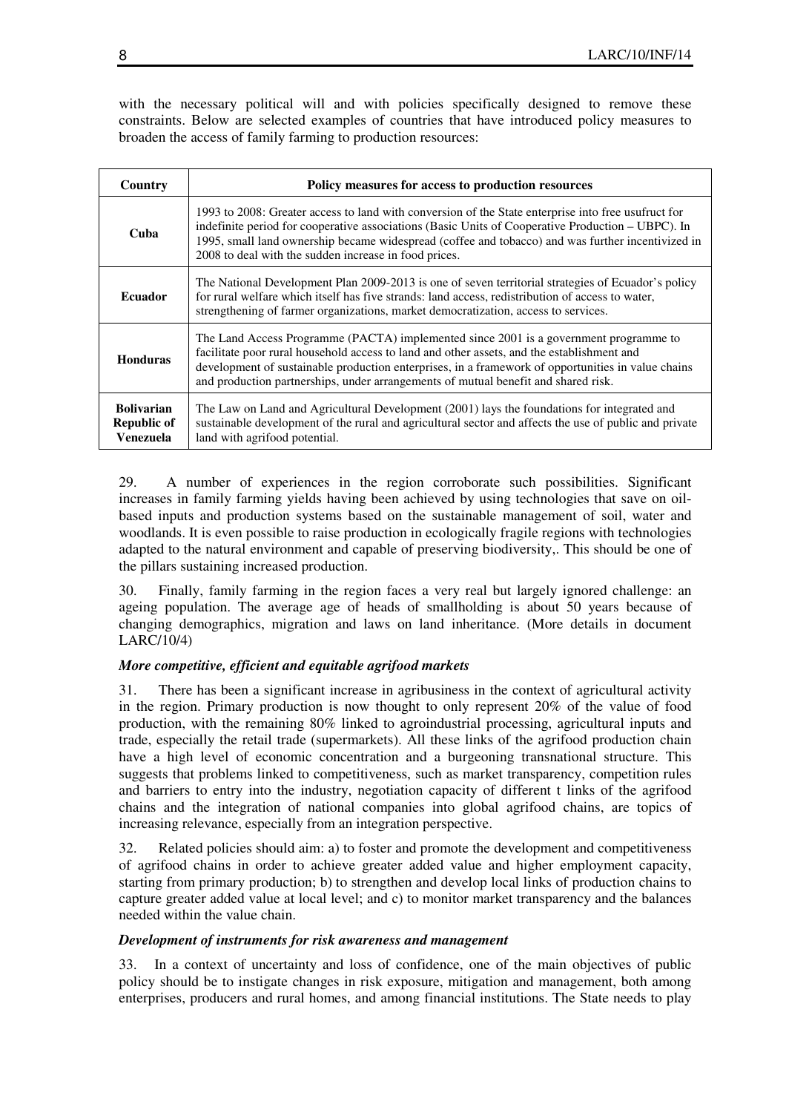with the necessary political will and with policies specifically designed to remove these constraints. Below are selected examples of countries that have introduced policy measures to broaden the access of family farming to production resources:

| Country                                              | Policy measures for access to production resources                                                                                                                                                                                                                                                                                                                              |
|------------------------------------------------------|---------------------------------------------------------------------------------------------------------------------------------------------------------------------------------------------------------------------------------------------------------------------------------------------------------------------------------------------------------------------------------|
| Cuba                                                 | 1993 to 2008: Greater access to land with conversion of the State enterprise into free usufruct for<br>indefinite period for cooperative associations (Basic Units of Cooperative Production – UBPC). In<br>1995, small land ownership became widespread (coffee and tobacco) and was further incentivized in<br>2008 to deal with the sudden increase in food prices.          |
| <b>Ecuador</b>                                       | The National Development Plan 2009-2013 is one of seven territorial strategies of Ecuador's policy<br>for rural welfare which itself has five strands: land access, redistribution of access to water,<br>strengthening of farmer organizations, market democratization, access to services.                                                                                    |
| <b>Honduras</b>                                      | The Land Access Programme (PACTA) implemented since 2001 is a government programme to<br>facilitate poor rural household access to land and other assets, and the establishment and<br>development of sustainable production enterprises, in a framework of opportunities in value chains<br>and production partnerships, under arrangements of mutual benefit and shared risk. |
| <b>Bolivarian</b><br><b>Republic of</b><br>Venezuela | The Law on Land and Agricultural Development (2001) lays the foundations for integrated and<br>sustainable development of the rural and agricultural sector and affects the use of public and private<br>land with agrifood potential.                                                                                                                                          |

29. A number of experiences in the region corroborate such possibilities. Significant increases in family farming yields having been achieved by using technologies that save on oilbased inputs and production systems based on the sustainable management of soil, water and woodlands. It is even possible to raise production in ecologically fragile regions with technologies adapted to the natural environment and capable of preserving biodiversity,. This should be one of the pillars sustaining increased production.

30. Finally, family farming in the region faces a very real but largely ignored challenge: an ageing population. The average age of heads of smallholding is about 50 years because of changing demographics, migration and laws on land inheritance. (More details in document LARC/10/4)

### *More competitive, efficient and equitable agrifood markets*

31. There has been a significant increase in agribusiness in the context of agricultural activity in the region. Primary production is now thought to only represent 20% of the value of food production, with the remaining 80% linked to agroindustrial processing, agricultural inputs and trade, especially the retail trade (supermarkets). All these links of the agrifood production chain have a high level of economic concentration and a burgeoning transnational structure. This suggests that problems linked to competitiveness, such as market transparency, competition rules and barriers to entry into the industry, negotiation capacity of different t links of the agrifood chains and the integration of national companies into global agrifood chains, are topics of increasing relevance, especially from an integration perspective.

32. Related policies should aim: a) to foster and promote the development and competitiveness of agrifood chains in order to achieve greater added value and higher employment capacity, starting from primary production; b) to strengthen and develop local links of production chains to capture greater added value at local level; and c) to monitor market transparency and the balances needed within the value chain.

### *Development of instruments for risk awareness and management*

33. In a context of uncertainty and loss of confidence, one of the main objectives of public policy should be to instigate changes in risk exposure, mitigation and management, both among enterprises, producers and rural homes, and among financial institutions. The State needs to play